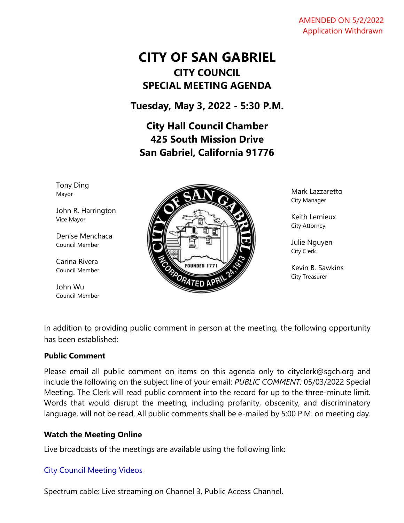#### AMENDED ON 5/2/2022 Application Withdrawn

# **CITY OF SAN GABRIEL CITY COUNCIL SPECIAL MEETING AGENDA**

**Tuesday, May 3, 2022 - 5:30 P.M.**

**City Hall Council Chamber 425 South Mission Drive San Gabriel, California 91776**

Tony Ding Mayor

John R. Harrington Vice Mayor

Denise Menchaca Council Member

Carina Rivera Council Member

John Wu Council Member



Mark Lazzaretto City Manager

Keith Lemieux City Attorney

Julie Nguyen City Clerk

Kevin B. Sawkins City Treasurer

In addition to providing public comment in person at the meeting, the following opportunity has been established:

### **Public Comment**

Please email all public comment on items on this agenda only to [cityclerk@sgch.org](mailto:cityclerk@sgch.org) and include the following on the subject line of your email: *PUBLIC COMMENT:* 05/03/2022 Special Meeting. The Clerk will read public comment into the record for up to the three-minute limit. Words that would disrupt the meeting, including profanity, obscenity, and discriminatory language, will not be read. All public comments shall be e-mailed by 5:00 P.M. on meeting day.

# **Watch the Meeting Online**

Live broadcasts of the meetings are available using the following link:

### [City Council Meeting Videos](https://www.youtube.com/CityofSanGabriel)

Spectrum cable: Live streaming on Channel 3, Public Access Channel.